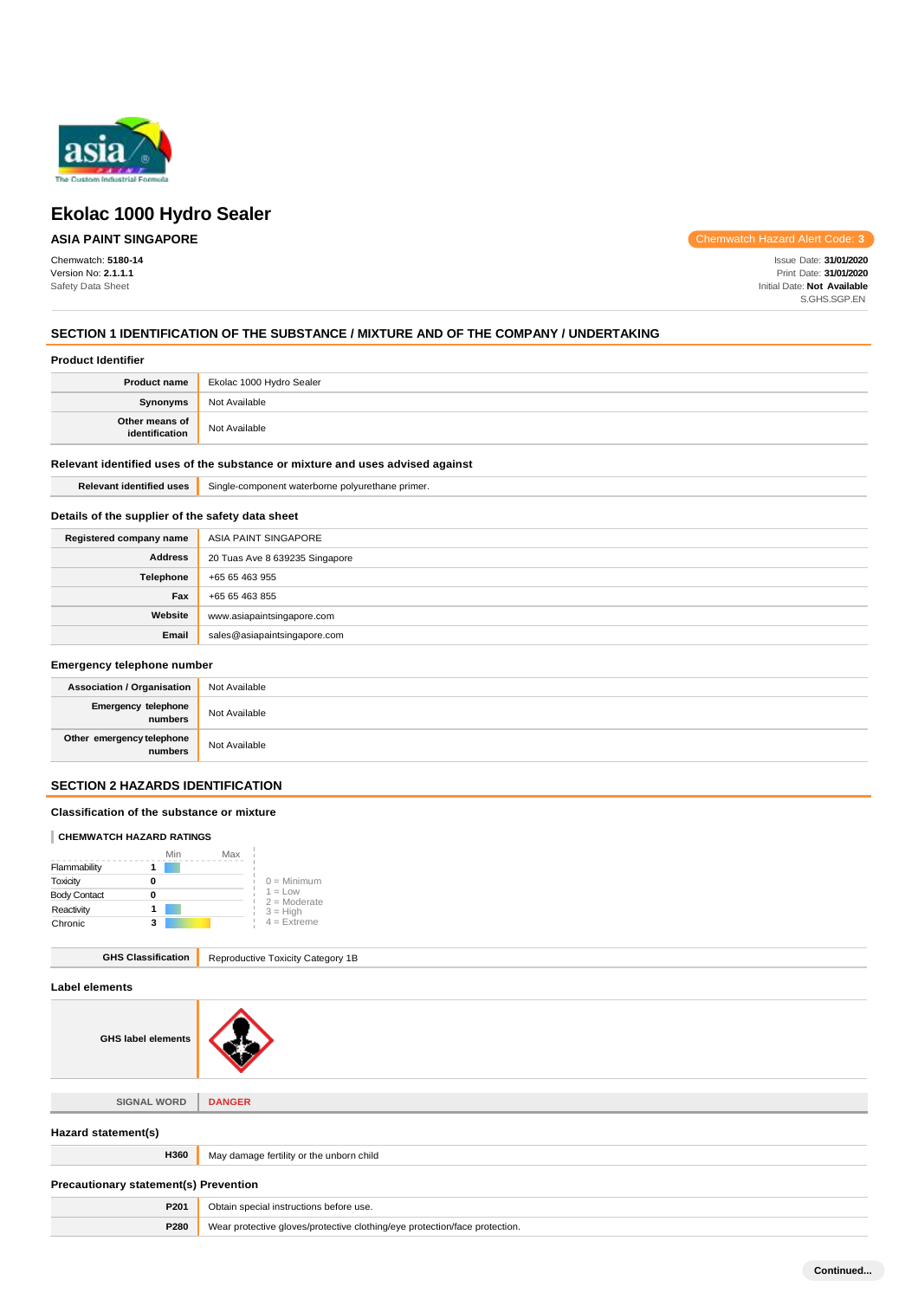

# **ASIA PAINT SINGAPORE**

Chemwatch: **5180-14** Version No: **2.1.1.1** Safety Data Sheet

Chemwatch Hazard Alert Code: **3**

Issue Date: **31/01/2020** Print Date: **31/01/2020** Initial Date: **Not Available** S.GHS.SGP.EN

# **SECTION 1 IDENTIFICATION OF THE SUBSTANCE / MIXTURE AND OF THE COMPANY / UNDERTAKING**

|                                  | <b>Product name</b> Ekolac 1000 Hydro Sealer |
|----------------------------------|----------------------------------------------|
| Synonyms                         | Not Available                                |
| Other means of<br>identification | Not Available                                |

# **Relevant identified uses of the substance or mixture and uses advised against**

**Relevant identified uses** Single-component waterborne polyurethane primer.

### **Details of the supplier of the safety data sheet**

| Registered company name | ASIA PAINT SINGAPORE           |
|-------------------------|--------------------------------|
| <b>Address</b>          | 20 Tuas Ave 8 639235 Singapore |
| Telephone               | +65 65 463 955                 |
| Fax                     | +65 65 463 855                 |
| Website                 | www.asiapaintsingapore.com     |
| Email                   | sales@asiapaintsingapore.com   |

# **Emergency telephone number**

| <b>Association / Organisation</b>    | Not Available |
|--------------------------------------|---------------|
| Emergency telephone<br>numbers       | Not Available |
| Other emergency telephone<br>numbers | Not Available |

# **SECTION 2 HAZARDS IDENTIFICATION**

#### **Classification of the substance or mixture**

#### **CHEMWATCH HAZARD RATINGS**

|                     | Min | Max                         |
|---------------------|-----|-----------------------------|
| Flammability        |     |                             |
| Toxicity            |     | $0 =$ Minimum               |
| <b>Body Contact</b> |     | $1 = Low$<br>$2 =$ Moderate |
| Reactivity          |     | $3 = High$                  |
| Chronic             | 3   | $4$ = Extreme               |

#### **GHS Classification** Reproductive Toxicity Category 1B

| Label elements                               |                                                                            |
|----------------------------------------------|----------------------------------------------------------------------------|
| <b>GHS label elements</b>                    |                                                                            |
|                                              |                                                                            |
| <b>SIGNAL WORD</b>                           | <b>DANGER</b>                                                              |
| Hazard statement(s)                          |                                                                            |
| H360                                         | May damage fertility or the unborn child                                   |
| <b>Precautionary statement(s) Prevention</b> |                                                                            |
| P201                                         | Obtain special instructions before use.                                    |
| P280                                         | Wear protective gloves/protective clothing/eye protection/face protection. |

**Continued...**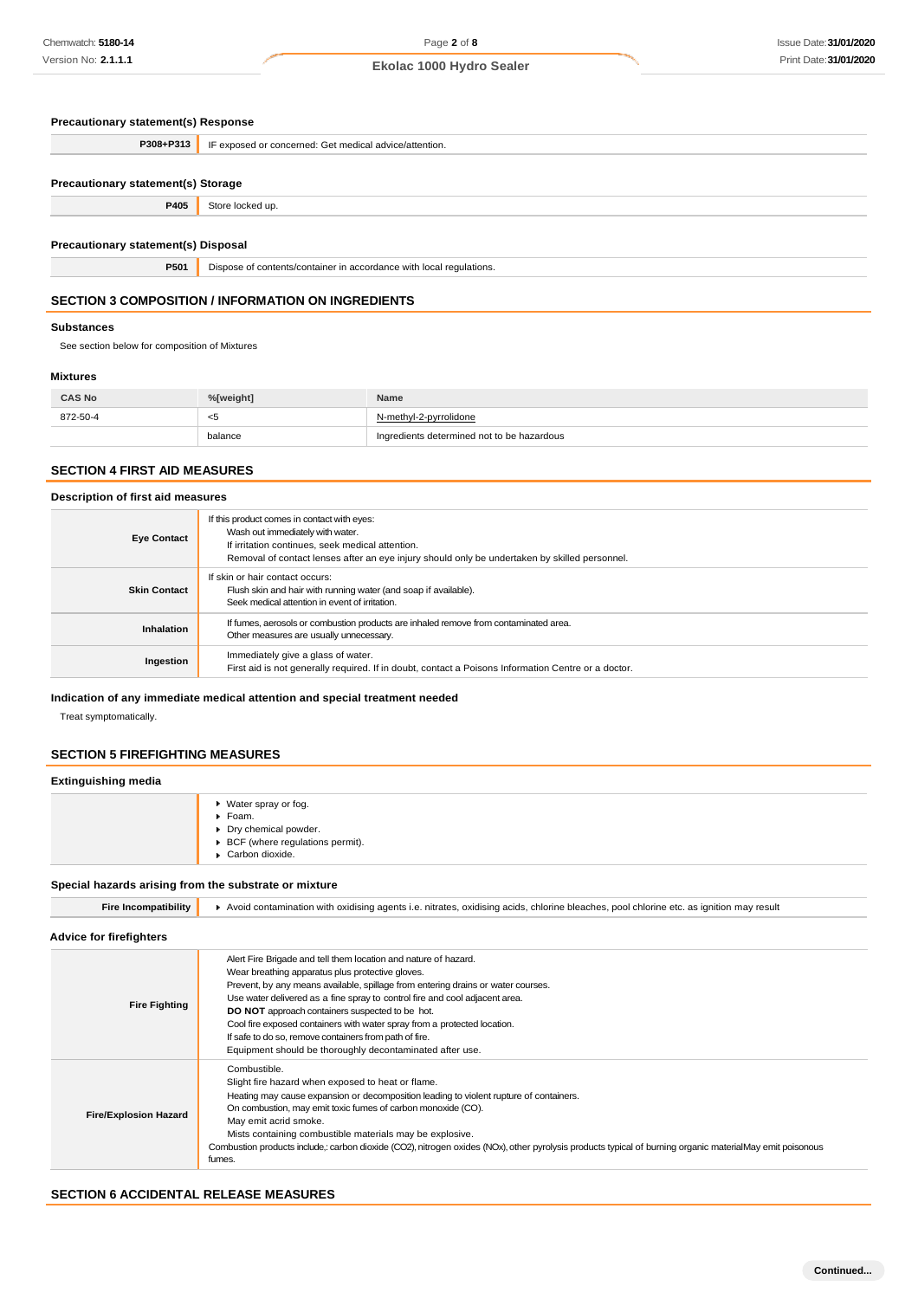| Precautionary statement(s) Response |  |  |
|-------------------------------------|--|--|
|-------------------------------------|--|--|

| P308+P313                                 | IF exposed or concerned: Get medical advice/attention.              |  |
|-------------------------------------------|---------------------------------------------------------------------|--|
|                                           |                                                                     |  |
| <b>Precautionary statement(s) Storage</b> |                                                                     |  |
| P405                                      | Store locked up.                                                    |  |
|                                           |                                                                     |  |
| Precautionary statement(s) Disposal       |                                                                     |  |
| P501                                      | Dispose of contents/container in accordance with local regulations. |  |

# **SECTION 3 COMPOSITION / INFORMATION ON INGREDIENTS**

#### **Substances**

See section below for composition of Mixtures

#### **Mixtures**

| <b>CAS No</b> | %[weight] | Name                                       |
|---------------|-----------|--------------------------------------------|
| 872-50-4      | -30       | N-methyl-2-pyrrolidone                     |
|               | balance   | Ingredients determined not to be hazardous |

# **SECTION 4 FIRST AID MEASURES**

#### **Description of first aid measures**

| <b>Eye Contact</b>  | If this product comes in contact with eyes:<br>Wash out immediately with water.<br>If irritation continues, seek medical attention.<br>Removal of contact lenses after an eye injury should only be undertaken by skilled personnel. |
|---------------------|--------------------------------------------------------------------------------------------------------------------------------------------------------------------------------------------------------------------------------------|
| <b>Skin Contact</b> | If skin or hair contact occurs:<br>Flush skin and hair with running water (and soap if available).<br>Seek medical attention in event of irritation.                                                                                 |
| Inhalation          | If fumes, aerosols or combustion products are inhaled remove from contaminated area.<br>Other measures are usually unnecessary.                                                                                                      |
| Ingestion           | Immediately give a glass of water.<br>First aid is not generally required. If in doubt, contact a Poisons Information Centre or a doctor.                                                                                            |

# **Indication of any immediate medical attention and special treatment needed**

Treat symptomatically.

### **SECTION 5 FIREFIGHTING MEASURES**

### **Extinguishing media**

| ▶ Water spray or fog.                            |
|--------------------------------------------------|
| $\blacktriangleright$ Foam.                      |
| Dry chemical powder.                             |
| $\triangleright$ BCF (where regulations permit). |
| Carbon dioxide.                                  |

# **Special hazards arising from the substrate or mixture**

| <b>Fire Incompatibility</b>    | ▶ Avoid contamination with oxidising agents i.e. nitrates, oxidising acids, chlorine bleaches, pool chlorine etc. as ignition may result                                                                                                                                                                                                                                                                                                                                                                                                    |  |  |
|--------------------------------|---------------------------------------------------------------------------------------------------------------------------------------------------------------------------------------------------------------------------------------------------------------------------------------------------------------------------------------------------------------------------------------------------------------------------------------------------------------------------------------------------------------------------------------------|--|--|
| <b>Advice for firefighters</b> |                                                                                                                                                                                                                                                                                                                                                                                                                                                                                                                                             |  |  |
| <b>Fire Fighting</b>           | Alert Fire Brigade and tell them location and nature of hazard.<br>Wear breathing apparatus plus protective gloves.<br>Prevent, by any means available, spillage from entering drains or water courses.<br>Use water delivered as a fine spray to control fire and cool adjacent area.<br>DO NOT approach containers suspected to be hot.<br>Cool fire exposed containers with water spray from a protected location.<br>If safe to do so, remove containers from path of fire.<br>Equipment should be thoroughly decontaminated after use. |  |  |
| <b>Fire/Explosion Hazard</b>   | Combustible.<br>Slight fire hazard when exposed to heat or flame.<br>Heating may cause expansion or decomposition leading to violent rupture of containers.<br>On combustion, may emit toxic fumes of carbon monoxide (CO).<br>May emit acrid smoke.<br>Mists containing combustible materials may be explosive.<br>Combustion products include,: carbon dioxide (CO2), nitrogen oxides (NOx), other pyrolysis products typical of burning organic materialMay emit poisonous<br>fumes.                                                     |  |  |

# **SECTION 6 ACCIDENTAL RELEASE MEASURES**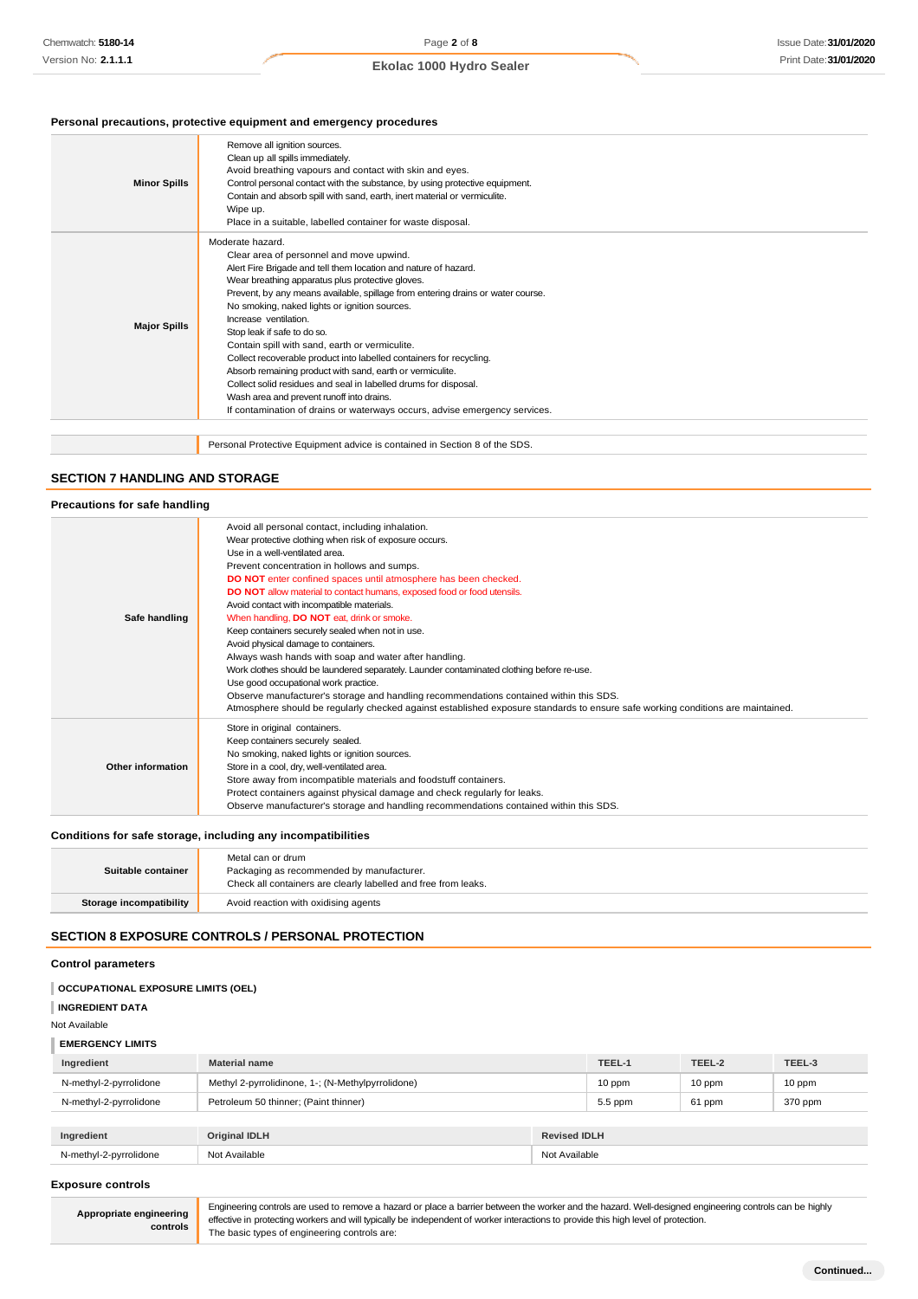# **Personal precautions, protective equipment and emergency procedures**

| <b>Minor Spills</b> | Remove all ignition sources.<br>Clean up all spills immediately.<br>Avoid breathing vapours and contact with skin and eyes.<br>Control personal contact with the substance, by using protective equipment.<br>Contain and absorb spill with sand, earth, inert material or vermiculite.<br>Wipe up.<br>Place in a suitable, labelled container for waste disposal.                                                                                                                                                                                                                                                                                                                                                                                                  |
|---------------------|---------------------------------------------------------------------------------------------------------------------------------------------------------------------------------------------------------------------------------------------------------------------------------------------------------------------------------------------------------------------------------------------------------------------------------------------------------------------------------------------------------------------------------------------------------------------------------------------------------------------------------------------------------------------------------------------------------------------------------------------------------------------|
| <b>Major Spills</b> | Moderate hazard.<br>Clear area of personnel and move upwind.<br>Alert Fire Brigade and tell them location and nature of hazard.<br>Wear breathing apparatus plus protective gloves.<br>Prevent, by any means available, spillage from entering drains or water course.<br>No smoking, naked lights or ignition sources.<br>Increase ventilation.<br>Stop leak if safe to do so.<br>Contain spill with sand, earth or vermiculite.<br>Collect recoverable product into labelled containers for recycling.<br>Absorb remaining product with sand, earth or vermiculite.<br>Collect solid residues and seal in labelled drums for disposal.<br>Wash area and prevent runoff into drains.<br>If contamination of drains or waterways occurs, advise emergency services. |
|                     | Personal Protective Equipment advice is contained in Section 8 of the SDS.                                                                                                                                                                                                                                                                                                                                                                                                                                                                                                                                                                                                                                                                                          |

#### **SECTION 7 HANDLING AND STORAGE**

| Precautions for safe handling |                                                                                                                                                                                                                                                                                                                                                                                                                                                                                                                                                                                                                                                                                                                                                                                                                                                                                                                                                               |
|-------------------------------|---------------------------------------------------------------------------------------------------------------------------------------------------------------------------------------------------------------------------------------------------------------------------------------------------------------------------------------------------------------------------------------------------------------------------------------------------------------------------------------------------------------------------------------------------------------------------------------------------------------------------------------------------------------------------------------------------------------------------------------------------------------------------------------------------------------------------------------------------------------------------------------------------------------------------------------------------------------|
| Safe handling                 | Avoid all personal contact, including inhalation.<br>Wear protective clothing when risk of exposure occurs.<br>Use in a well-ventilated area.<br>Prevent concentration in hollows and sumps.<br>DO NOT enter confined spaces until atmosphere has been checked.<br>DO NOT allow material to contact humans, exposed food or food utensils.<br>Avoid contact with incompatible materials.<br>When handling, DO NOT eat, drink or smoke.<br>Keep containers securely sealed when not in use.<br>Avoid physical damage to containers.<br>Always wash hands with soap and water after handling.<br>Work clothes should be laundered separately. Launder contaminated clothing before re-use.<br>Use good occupational work practice.<br>Observe manufacturer's storage and handling recommendations contained within this SDS.<br>Atmosphere should be regularly checked against established exposure standards to ensure safe working conditions are maintained. |
| Other information             | Store in original containers.<br>Keep containers securely sealed.<br>No smoking, naked lights or ignition sources.<br>Store in a cool, dry, well-ventilated area.<br>Store away from incompatible materials and foodstuff containers.<br>Protect containers against physical damage and check regularly for leaks.<br>Observe manufacturer's storage and handling recommendations contained within this SDS.                                                                                                                                                                                                                                                                                                                                                                                                                                                                                                                                                  |

# **Conditions for safe storage, including any incompatibilities**

| Suitable container      | Metal can or drum<br>Packaging as recommended by manufacturer.<br>Check all containers are clearly labelled and free from leaks. |
|-------------------------|----------------------------------------------------------------------------------------------------------------------------------|
| Storage incompatibility | Avoid reaction with oxidising agents                                                                                             |

# **SECTION 8 EXPOSURE CONTROLS / PERSONAL PROTECTION**

# **Control parameters**

| <b>OCCUPATIONAL EXPOSURE LIMITS (OEL)</b> |                                                   |                     |         |        |         |
|-------------------------------------------|---------------------------------------------------|---------------------|---------|--------|---------|
| <b>INGREDIENT DATA</b>                    |                                                   |                     |         |        |         |
| Not Available                             |                                                   |                     |         |        |         |
| <b>EMERGENCY LIMITS</b>                   |                                                   |                     |         |        |         |
| Ingredient                                | <b>Material name</b>                              |                     | TEEL-1  | TEEL-2 | TEEL-3  |
| N-methyl-2-pyrrolidone                    | Methyl 2-pyrrolidinone, 1-; (N-Methylpyrrolidone) |                     | 10 ppm  | 10 ppm | 10 ppm  |
| N-methyl-2-pyrrolidone                    | Petroleum 50 thinner; (Paint thinner)             |                     | 5.5 ppm | 61 ppm | 370 ppm |
|                                           |                                                   |                     |         |        |         |
| Ingredient                                | <b>Original IDLH</b>                              | <b>Revised IDLH</b> |         |        |         |
| N-methyl-2-pyrrolidone                    | Not Available<br>Not Available                    |                     |         |        |         |

#### **Exposure controls**

**Appropriate engineering controls** Engineering controls are used to remove a hazard or place a barrier between the worker and the hazard. Well-designed engineering controls can be highly effective in protecting workers and will typically be independent of worker interactions to provide this high level of protection. The basic types of engineering controls are: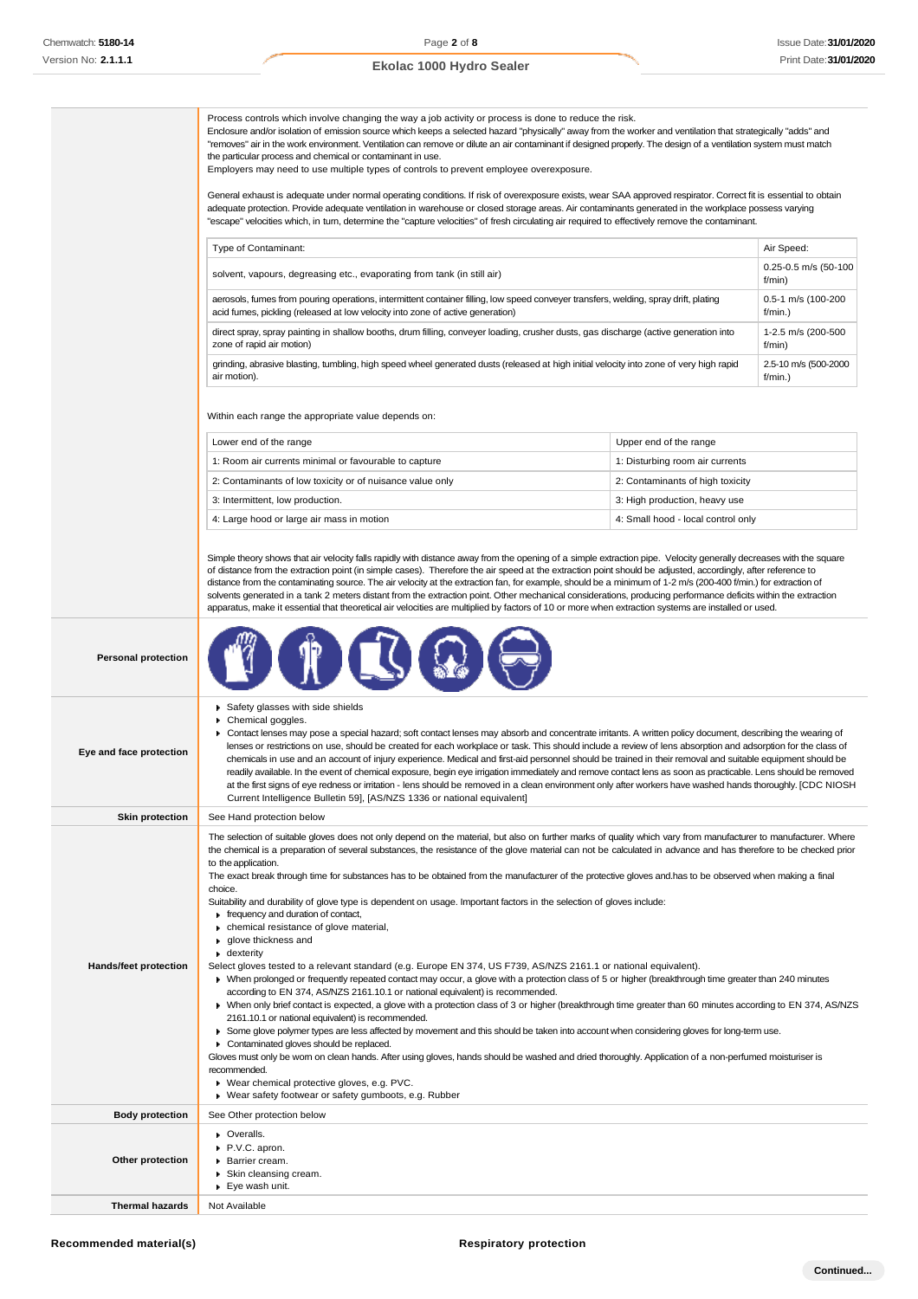|                              | Process controls which involve changing the way a job activity or process is done to reduce the risk.<br>Enclosure and/or isolation of emission source which keeps a selected hazard "physically" away from the worker and ventilation that strategically "adds" and<br>"removes" air in the work environment. Ventilation can remove or dilute an air contaminant if designed properly. The design of a ventilation system must match<br>the particular process and chemical or contaminant in use.<br>Employers may need to use multiple types of controls to prevent employee overexposure.<br>General exhaust is adequate under normal operating conditions. If risk of overexposure exists, wear SAA approved respirator. Correct fit is essential to obtain<br>adequate protection. Provide adequate ventilation in warehouse or closed storage areas. Air contaminants generated in the workplace possess varying<br>"escape" velocities which, in tum, determine the "capture velocities" of fresh circulating air required to effectively remove the contaminant. |                                    |                                           |  |
|------------------------------|----------------------------------------------------------------------------------------------------------------------------------------------------------------------------------------------------------------------------------------------------------------------------------------------------------------------------------------------------------------------------------------------------------------------------------------------------------------------------------------------------------------------------------------------------------------------------------------------------------------------------------------------------------------------------------------------------------------------------------------------------------------------------------------------------------------------------------------------------------------------------------------------------------------------------------------------------------------------------------------------------------------------------------------------------------------------------|------------------------------------|-------------------------------------------|--|
|                              | Type of Contaminant:<br>Air Speed:                                                                                                                                                                                                                                                                                                                                                                                                                                                                                                                                                                                                                                                                                                                                                                                                                                                                                                                                                                                                                                         |                                    |                                           |  |
|                              | 0.25-0.5 m/s (50-100<br>solvent, vapours, degreasing etc., evaporating from tank (in still air)<br>f/min)                                                                                                                                                                                                                                                                                                                                                                                                                                                                                                                                                                                                                                                                                                                                                                                                                                                                                                                                                                  |                                    |                                           |  |
|                              | aerosols, fumes from pouring operations, intermittent container filling, low speed conveyer transfers, welding, spray drift, plating                                                                                                                                                                                                                                                                                                                                                                                                                                                                                                                                                                                                                                                                                                                                                                                                                                                                                                                                       |                                    | 0.5-1 m/s (100-200                        |  |
|                              | acid fumes, pickling (released at low velocity into zone of active generation)<br>f/min.)<br>direct spray, spray painting in shallow booths, drum filling, conveyer loading, crusher dusts, gas discharge (active generation into<br>1-2.5 m/s (200-500                                                                                                                                                                                                                                                                                                                                                                                                                                                                                                                                                                                                                                                                                                                                                                                                                    |                                    |                                           |  |
|                              | zone of rapid air motion)<br>grinding, abrasive blasting, tumbling, high speed wheel generated dusts (released at high initial velocity into zone of very high rapid<br>air motion).                                                                                                                                                                                                                                                                                                                                                                                                                                                                                                                                                                                                                                                                                                                                                                                                                                                                                       |                                    | f/min)<br>2.5-10 m/s (500-2000<br>f/min.) |  |
|                              | Within each range the appropriate value depends on:                                                                                                                                                                                                                                                                                                                                                                                                                                                                                                                                                                                                                                                                                                                                                                                                                                                                                                                                                                                                                        |                                    |                                           |  |
|                              |                                                                                                                                                                                                                                                                                                                                                                                                                                                                                                                                                                                                                                                                                                                                                                                                                                                                                                                                                                                                                                                                            |                                    |                                           |  |
|                              | Lower end of the range                                                                                                                                                                                                                                                                                                                                                                                                                                                                                                                                                                                                                                                                                                                                                                                                                                                                                                                                                                                                                                                     | Upper end of the range             |                                           |  |
|                              | 1: Room air currents minimal or favourable to capture                                                                                                                                                                                                                                                                                                                                                                                                                                                                                                                                                                                                                                                                                                                                                                                                                                                                                                                                                                                                                      | 1: Disturbing room air currents    |                                           |  |
|                              | 2: Contaminants of low toxicity or of nuisance value only                                                                                                                                                                                                                                                                                                                                                                                                                                                                                                                                                                                                                                                                                                                                                                                                                                                                                                                                                                                                                  | 2: Contaminants of high toxicity   |                                           |  |
|                              | 3: Intermittent, low production.                                                                                                                                                                                                                                                                                                                                                                                                                                                                                                                                                                                                                                                                                                                                                                                                                                                                                                                                                                                                                                           | 3: High production, heavy use      |                                           |  |
|                              | 4: Large hood or large air mass in motion                                                                                                                                                                                                                                                                                                                                                                                                                                                                                                                                                                                                                                                                                                                                                                                                                                                                                                                                                                                                                                  | 4: Small hood - local control only |                                           |  |
|                              | Simple theory shows that air velocity falls rapidly with distance away from the opening of a simple extraction pipe. Velocity generally decreases with the square<br>of distance from the extraction point (in simple cases). Therefore the air speed at the extraction point should be adjusted, accordingly, after reference to<br>distance from the contaminating source. The air velocity at the extraction fan, for example, should be a minimum of 1-2 m/s (200-400 f/min.) for extraction of<br>solvents generated in a tank 2 meters distant from the extraction point. Other mechanical considerations, producing performance deficits within the extraction<br>apparatus, make it essential that theoretical air velocities are multiplied by factors of 10 or more when extraction systems are installed or used.                                                                                                                                                                                                                                               |                                    |                                           |  |
| <b>Personal protection</b>   |                                                                                                                                                                                                                                                                                                                                                                                                                                                                                                                                                                                                                                                                                                                                                                                                                                                                                                                                                                                                                                                                            |                                    |                                           |  |
| Eye and face protection      | Safety glasses with side shields<br>Chemical goggles.<br>▶ Contact lenses may pose a special hazard; soft contact lenses may absorb and concentrate irritants. A written policy document, describing the wearing of<br>lenses or restrictions on use, should be created for each workplace or task. This should include a review of lens absorption and adsorption for the class of<br>chemicals in use and an account of injury experience. Medical and first-aid personnel should be trained in their removal and suitable equipment should be<br>readily available. In the event of chemical exposure, begin eye irrigation immediately and remove contact lens as soon as practicable. Lens should be removed<br>at the first signs of eye redness or irritation - lens should be removed in a clean environment only after workers have washed hands thoroughly. [CDC NIOSH<br>Current Intelligence Bulletin 59], [AS/NZS 1336 or national equivalent]                                                                                                                |                                    |                                           |  |
| <b>Skin protection</b>       | See Hand protection below                                                                                                                                                                                                                                                                                                                                                                                                                                                                                                                                                                                                                                                                                                                                                                                                                                                                                                                                                                                                                                                  |                                    |                                           |  |
|                              | The selection of suitable gloves does not only depend on the material, but also on further marks of quality which vary from manufacturer to manufacturer. Where<br>the chemical is a preparation of several substances, the resistance of the glove material can not be calculated in advance and has therefore to be checked prior<br>to the application.<br>The exact break through time for substances has to be obtained from the manufacturer of the protective gloves and has to be observed when making a final                                                                                                                                                                                                                                                                                                                                                                                                                                                                                                                                                     |                                    |                                           |  |
| <b>Hands/feet protection</b> | choice.<br>Suitability and durability of glove type is dependent on usage. Important factors in the selection of gloves include:<br>Firequency and duration of contact,<br>• chemical resistance of glove material,<br>▶ glove thickness and<br>$\bullet$ dexterity<br>Select gloves tested to a relevant standard (e.g. Europe EN 374, US F739, AS/NZS 2161.1 or national equivalent).                                                                                                                                                                                                                                                                                                                                                                                                                                                                                                                                                                                                                                                                                    |                                    |                                           |  |
|                              | • When prolonged or frequently repeated contact may occur, a glove with a protection class of 5 or higher (breakthrough time greater than 240 minutes<br>according to EN 374, AS/NZS 2161.10.1 or national equivalent) is recommended.<br>> When only brief contact is expected, a glove with a protection class of 3 or higher (breakthrough time greater than 60 minutes according to EN 374, AS/NZS<br>2161.10.1 or national equivalent) is recommended.<br>► Some glove polymer types are less affected by movement and this should be taken into account when considering gloves for long-term use.<br>• Contaminated gloves should be replaced.<br>Gloves must only be wom on clean hands. After using gloves, hands should be washed and dried thoroughly. Application of a non-perfumed moisturiser is<br>recommended.<br>▶ Wear chemical protective gloves, e.g. PVC.<br>▶ Wear safety footwear or safety gumboots, e.g. Rubber                                                                                                                                   |                                    |                                           |  |
| <b>Body protection</b>       | See Other protection below                                                                                                                                                                                                                                                                                                                                                                                                                                                                                                                                                                                                                                                                                                                                                                                                                                                                                                                                                                                                                                                 |                                    |                                           |  |
| Other protection             | • Overalls.<br>P.V.C. apron.<br>▶ Barrier cream.<br>▶ Skin cleansing cream.<br>▶ Eye wash unit.                                                                                                                                                                                                                                                                                                                                                                                                                                                                                                                                                                                                                                                                                                                                                                                                                                                                                                                                                                            |                                    |                                           |  |
| <b>Thermal hazards</b>       | Not Available                                                                                                                                                                                                                                                                                                                                                                                                                                                                                                                                                                                                                                                                                                                                                                                                                                                                                                                                                                                                                                                              |                                    |                                           |  |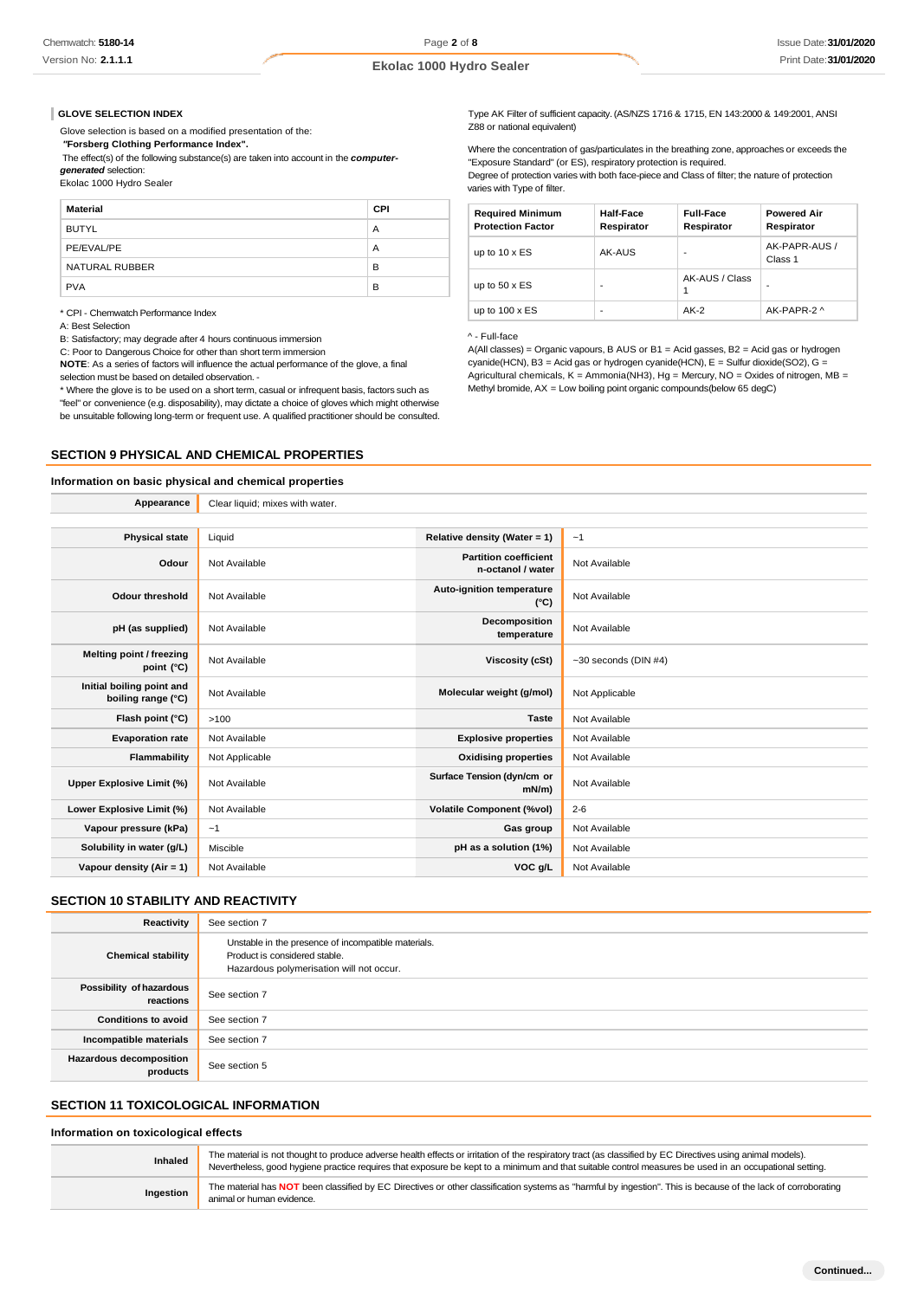#### **GLOVE SELECTION INDEX**

Glove selection is based on a modified presentation of the:

*"***Forsberg Clothing Performance Index".**

The effect(s) of the following substance(s) are taken into account in the *computergenerated* selection:

Ekolac 1000 Hydro Sealer

| Material       | CPI |
|----------------|-----|
| <b>BUTYL</b>   | A   |
| PE/EVAL/PE     | А   |
| NATURAL RUBBER | B   |
| <b>PVA</b>     | B   |

\* CPI - Chemwatch Performance Index

A: Best Selection

B: Satisfactory; may degrade after 4 hours continuous immersion

C: Poor to Dangerous Choice for other than short term immersion

**NOTE**: As a series of factors will influence the actual performance of the glove, a final selection must be based on detailed observation. -

**Appearance** Clear liquid; mixes with water.

\* Where the glove is to be used on a short term, casual or infrequent basis, factors such as

"feel" or convenience (e.g. disposability), may dictate a choice of gloves which might otherwise be unsuitable following long-term or frequent use. A qualified practitioner should be consulted.

# **SECTION 9 PHYSICAL AND CHEMICAL PROPERTIES**

#### **Information on basic physical and chemical properties**

Type AK Filter of sufficient capacity. (AS/NZS 1716 & 1715, EN 143:2000 & 149:2001, ANSI Z88 or national equivalent)

Where the concentration of gas/particulates in the breathing zone, approaches or exceeds the "Exposure Standard" (or ES), respiratory protection is required.

Degree of protection varies with both face-piece and Class of filter; the nature of protection varies with Type of filter.

| <b>Required Minimum</b><br><b>Protection Factor</b> | Half-Face<br>Respirator | <b>Full-Face</b><br>Respirator | <b>Powered Air</b><br>Respirator |
|-----------------------------------------------------|-------------------------|--------------------------------|----------------------------------|
| up to $10 \times ES$                                | AK-AUS                  | -                              | AK-PAPR-AUS /<br>Class 1         |
| up to $50 \times ES$                                | -                       | AK-AUS / Class                 |                                  |
| up to $100 \times ES$                               | ٠                       | $AK-2$                         | AK-PAPR-2 ^                      |

#### ^ - Full-face

A(All classes) = Organic vapours, B AUS or B1 = Acid gasses, B2 = Acid gas or hydrogen cyanide(HCN), B3 = Acid gas or hydrogen cyanide(HCN), E = Sulfur dioxide(SO2), G = Agricultural chemicals,  $K =$  Ammonia(NH3), Hg = Mercury, NO = Oxides of nitrogen, MB = Methyl bromide, AX = Low boiling point organic compounds(below 65 degC)

| <b>Physical state</b>                           | Liquid         | Relative density (Water = 1)                      | ~1                     |
|-------------------------------------------------|----------------|---------------------------------------------------|------------------------|
| Odour                                           | Not Available  | <b>Partition coefficient</b><br>n-octanol / water | Not Available          |
| <b>Odour threshold</b>                          | Not Available  | Auto-ignition temperature<br>$(^{\circ}C)$        | Not Available          |
| pH (as supplied)                                | Not Available  | Decomposition<br>temperature                      | Not Available          |
| Melting point / freezing<br>point (°C)          | Not Available  | <b>Viscosity (cSt)</b>                            | $-30$ seconds (DIN #4) |
| Initial boiling point and<br>boiling range (°C) | Not Available  | Molecular weight (g/mol)                          | Not Applicable         |
| Flash point (°C)                                | >100           | <b>Taste</b>                                      | Not Available          |
| <b>Evaporation rate</b>                         | Not Available  | <b>Explosive properties</b>                       | Not Available          |
| Flammability                                    | Not Applicable | <b>Oxidising properties</b>                       | Not Available          |
| Upper Explosive Limit (%)                       | Not Available  | Surface Tension (dyn/cm or<br>$mN/m$ )            | Not Available          |
| Lower Explosive Limit (%)                       | Not Available  | <b>Volatile Component (%vol)</b>                  | $2 - 6$                |
| Vapour pressure (kPa)                           | ~1             | Gas group                                         | Not Available          |
| Solubility in water (g/L)                       | Miscible       | pH as a solution (1%)                             | Not Available          |
| Vapour density (Air = $1$ )                     | Not Available  | VOC g/L                                           | Not Available          |
|                                                 |                |                                                   |                        |

# **SECTION 10 STABILITY AND REACTIVITY**

| Reactivity                                 | See section 7                                                                                                                    |
|--------------------------------------------|----------------------------------------------------------------------------------------------------------------------------------|
| <b>Chemical stability</b>                  | Unstable in the presence of incompatible materials.<br>Product is considered stable.<br>Hazardous polymerisation will not occur. |
| Possibility of hazardous<br>reactions      | See section 7                                                                                                                    |
| <b>Conditions to avoid</b>                 | See section 7                                                                                                                    |
| Incompatible materials                     | See section 7                                                                                                                    |
| <b>Hazardous decomposition</b><br>products | See section 5                                                                                                                    |

# **SECTION 11 TOXICOLOGICAL INFORMATION**

#### **Information on toxicological effects**

| <b>Inhaled</b> | The material is not thought to produce adverse health effects or irritation of the respiratory tract (as classified by EC Directives using animal models).<br>Nevertheless, good hygiene practice requires that exposure be kept to a minimum and that suitable control measures be used in an occupational setting. |
|----------------|----------------------------------------------------------------------------------------------------------------------------------------------------------------------------------------------------------------------------------------------------------------------------------------------------------------------|
| Ingestion      | The material has NOT been classified by EC Directives or other classification systems as "harmful by ingestion". This is because of the lack of corroborating<br>animal or human evidence.                                                                                                                           |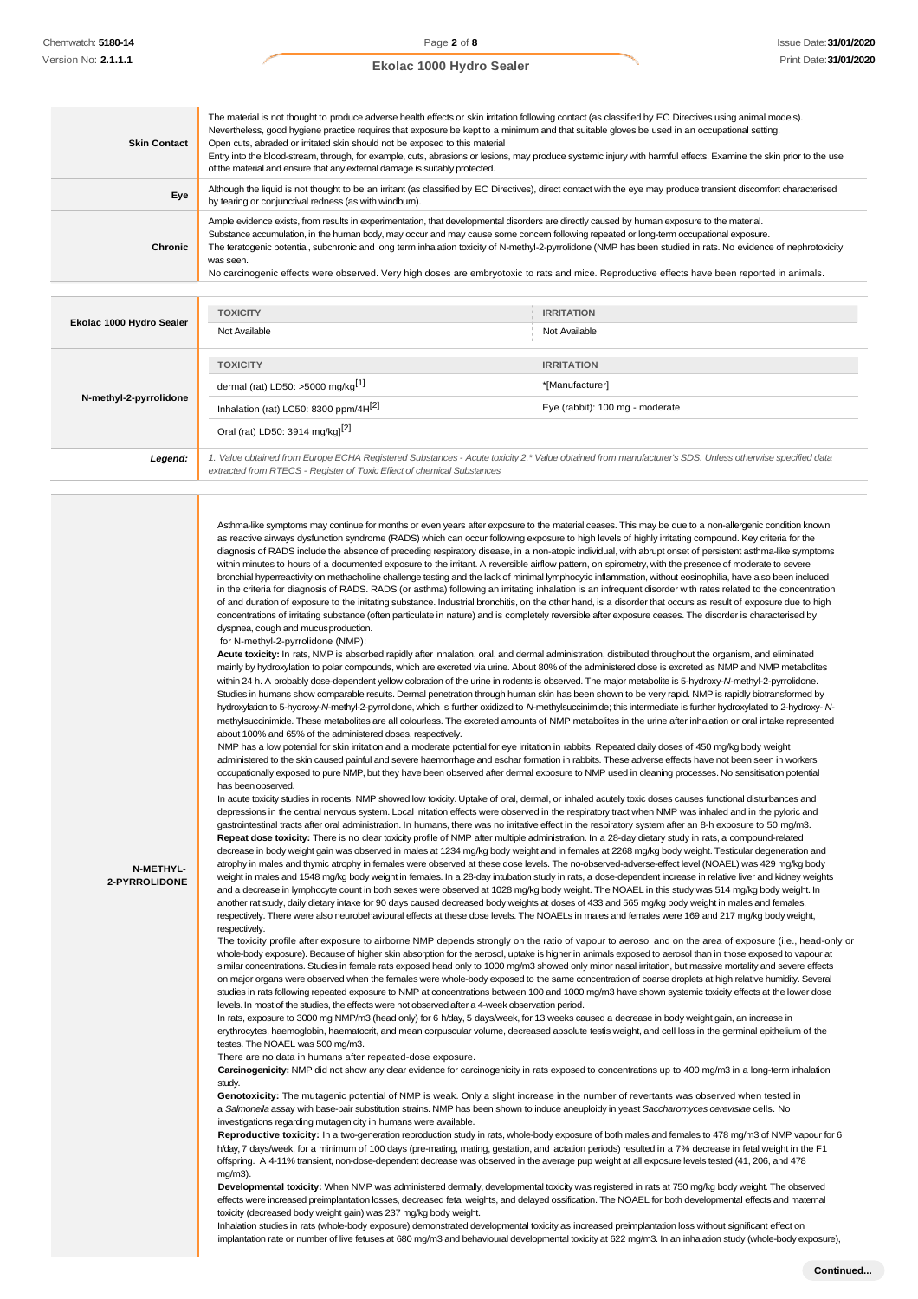| Ekolac 1000 Hydro Sealer |  |  |  |
|--------------------------|--|--|--|
|--------------------------|--|--|--|

| <b>Skin Contact</b> | The material is not thought to produce adverse health effects or skin irritation following contact (as classified by EC Directives using animal models).<br>Nevertheless, good hygiene practice requires that exposure be kept to a minimum and that suitable gloves be used in an occupational setting.<br>Open cuts, abraded or irritated skin should not be exposed to this material<br>Entry into the blood-stream, through, for example, cuts, abrasions or lesions, may produce systemic injury with harmful effects. Examine the skin prior to the use<br>of the material and ensure that any external damage is suitably protected. |
|---------------------|---------------------------------------------------------------------------------------------------------------------------------------------------------------------------------------------------------------------------------------------------------------------------------------------------------------------------------------------------------------------------------------------------------------------------------------------------------------------------------------------------------------------------------------------------------------------------------------------------------------------------------------------|
| Eye                 | Although the liquid is not thought to be an irritant (as classified by EC Directives), direct contact with the eye may produce transient discomfort characterised<br>by tearing or conjunctival redness (as with windburn).                                                                                                                                                                                                                                                                                                                                                                                                                 |
| Chronic             | Ample evidence exists, from results in experimentation, that developmental disorders are directly caused by human exposure to the material.<br>Substance accumulation, in the human body, may occur and may cause some concern following repeated or long-term occupational exposure.<br>The teratogenic potential, subchronic and long term inhalation toxicity of N-methyl-2-pyrrolidone (NMP has been studied in rats. No evidence of nephrotoxicity<br>was seen.<br>No carcinogenic effects were observed. Very high doses are embryotoxic to rats and mice. Reproductive effects have been reported in animals.                        |
|                     |                                                                                                                                                                                                                                                                                                                                                                                                                                                                                                                                                                                                                                             |

| Ekolac 1000 Hydro Sealer | <b>TOXICITY</b>                                                                                                                                       | <b>IRRITATION</b>               |
|--------------------------|-------------------------------------------------------------------------------------------------------------------------------------------------------|---------------------------------|
|                          | Not Available                                                                                                                                         | Not Available                   |
|                          |                                                                                                                                                       |                                 |
|                          | <b>TOXICITY</b>                                                                                                                                       | <b>IRRITATION</b>               |
| N-methyl-2-pyrrolidone   | dermal (rat) LD50: $>5000$ mg/kg <sup>[1]</sup>                                                                                                       | *[Manufacturer]                 |
|                          | Inhalation (rat) LC50: 8300 ppm/4H <sup>[2]</sup>                                                                                                     | Eye (rabbit): 100 mg - moderate |
|                          | Oral (rat) LD50: 3914 mg/kgl <sup>[2]</sup>                                                                                                           |                                 |
| Legend:                  | 1. Value obtained from Europe ECHA Registered Substances - Acute toxicity 2.* Value obtained from manufacturer's SDS. Unless otherwise specified data |                                 |
|                          | extracted from RTECS - Register of Toxic Effect of chemical Substances                                                                                |                                 |

Asthma-like symptoms may continue for months or even years after exposure to the material ceases. This may be due to a non-allergenic condition known as reactive airways dysfunction syndrome (RADS) which can occur following exposure to high levels of highly irritating compound. Key criteria for the diagnosis of RADS include the absence of preceding respiratory disease, in a non-atopic individual, with abrupt onset of persistent asthma-like symptoms within minutes to hours of a documented exposure to the irritant. A reversible airflow pattern, on spirometry, with the presence of moderate to severe bronchial hyperreactivity on methacholine challenge testing and the lack of minimal lymphocytic inflammation, without eosinophilia, have also been included in the criteria for diagnosis of RADS. RADS (or asthma) following an irritating inhalation is an infrequent disorder with rates related to the concentration of and duration of exposure to the irritating substance. Industrial bronchitis, on the other hand, is a disorder that occurs as result of exposure due to high concentrations of irritating substance (often particulate in nature) and is completely reversible after exposure ceases. The disorder is characterised by dyspnea, cough and mucusproduction.

for N-methyl-2-pyrrolidone (NMP):

**N-METHYL-2-PYRROLIDONE**

**Acute toxicity:** In rats, NMP is absorbed rapidly after inhalation, oral, and dermal administration, distributed throughout the organism, and eliminated mainly by hydroxylation to polar compounds, which are excreted via urine. About 80% of the administered dose is excreted as NMP and NMP metabolit within 24 h. A probably dose-dependent yellow coloration of the urine in rodents is observed. The major metabolite is 5-hydroxy-*N*-methyl-2-pyrrolidone. Studies in humans show comparable results. Dermal penetration through human skin has been shown to be very rapid. NMP is rapidly biotransformed by hydroxylation to 5-hydroxy-*N*-methyl-2-pyrrolidone, which is further oxidized to *N*-methylsuccinimide; this intermediate is further hydroxylated to 2-hydroxy- *N*methylsuccinimide. These metabolites are all colourless. The excreted amounts of NMP metabolites in the urine after inhalation or oral intake represented about 100% and 65% of the administered doses, respectively.

NMP has a low potential for skin irritation and a moderate potential for eye irritation in rabbits. Repeated daily doses of 450 mg/kg body weight administered to the skin caused painful and severe haemorrhage and eschar formation in rabbits. These adverse effects have not been seen in workers occupationally exposed to pure NMP, but they have been observed after dermal exposure to NMP used in cleaning processes. No sensitisation potential has been observed.

In acute toxicity studies in rodents, NMP showed low toxicity. Uptake of oral, dermal, or inhaled acutely toxic doses causes functional disturbances and depressions in the central nervous system. Local irritation effects were observed in the respiratory tract when NMP was inhaled and in the pyloric and gastrointestinal tracts after oral administration. In humans, there was no irritative effect in the respiratory system after an 8-h exposure to 50 mg/m3. **Repeat dose toxicity:** There is no clear toxicity profile of NMP after multiple administration. In a 28-day dietary study in rats, a compound-related decrease in body weight gain was observed in males at 1234 mg/kg body weight and in females at 2268 mg/kg body weight. Testicular degeneration and atrophy in males and thymic atrophy in females were observed at these dose levels. The no-observed-adverse-effect level (NOAEL) was 429 mg/kg body weight in males and 1548 mg/kg body weight in females. In a 28-day intubation study in rats, a dose-dependent increase in relative liver and kidney weights and a decrease in lymphocyte count in both sexes were observed at 1028 mg/kg body weight. The NOAEL in this study was 514 mg/kg body weight. In another rat study, daily dietary intake for 90 days caused decreased body weights at doses of 433 and 565 mg/kg body weight in males and females, respectively. There were also neurobehavioural effects at these dose levels. The NOAELs in males and females were 169 and 217 mg/kg body weight, respectively.

The toxicity profile after exposure to airborne NMP depends strongly on the ratio of vapour to aerosol and on the area of exposure (i.e., head-only or whole-body exposure). Because of higher skin absorption for the aerosol, uptake is higher in animals exposed to aerosol than in those exposed to vapour at similar concentrations. Studies in female rats exposed head only to 1000 mg/m3 showed only minor nasal irritation, but massive mortality and severe effects on major organs were observed when the females were whole-body exposed to the same concentration of coarse droplets at high relative humidity. Several studies in rats following repeated exposure to NMP at concentrations between 100 and 1000 mg/m3 have shown systemic toxicity effects at the lower dose levels. In most of the studies, the effects were not observed after a 4-week observation period.

In rats, exposure to 3000 mg NMP/m3 (head only) for 6 h/day, 5 days/week, for 13 weeks caused a decrease in body weight gain, an increase in erythrocytes, haemoglobin, haematocrit, and mean corpuscular volume, decreased absolute testis weight, and cell loss in the germinal epithelium of the testes. The NOAEL was 500 mg/m3.

There are no data in humans after repeated-dose exposure.

**Carcinogenicity:** NMP did not show any clear evidence for carcinogenicity in rats exposed to concentrations up to 400 mg/m3 in a long-term inhalation study.

**Genotoxicity:** The mutagenic potential of NMP is weak. Only a slight increase in the number of revertants was observed when tested in a *Salmonella* assay with base-pair substitution strains. NMP has been shown to induce aneuploidy in yeast *Saccharomyces cerevisiae* cells. No investigations regarding mutagenicity in humans were available.

**Reproductive toxicity:** In a two-generation reproduction study in rats, whole-body exposure of both males and females to 478 mg/m3 of NMP vapour for 6 h/day, 7 days/week, for a minimum of 100 days (pre-mating, mating, gestation, and lactation periods) resulted in a 7% decrease in fetal weight in the F1 offspring. A 4-11% transient, non-dose-dependent decrease was observed in the average pup weight at all exposure levels tested (41, 206, and 478 mg/m3).

**Developmental toxicity:** When NMP was administered dermally, developmental toxicity was registered in rats at 750 mg/kg body weight. The observed effects were increased preimplantation losses, decreased fetal weights, and delayed ossification. The NOAEL for both developmental effects and maternal toxicity (decreased body weight gain) was 237 mg/kg body weight.

Inhalation studies in rats (whole-body exposure) demonstrated developmental toxicity as increased preimplantation loss without significant effect on implantation rate or number of live fetuses at 680 mg/m3 and behavioural developmental toxicity at 622 mg/m3. In an inhalation study (whole-body exposure),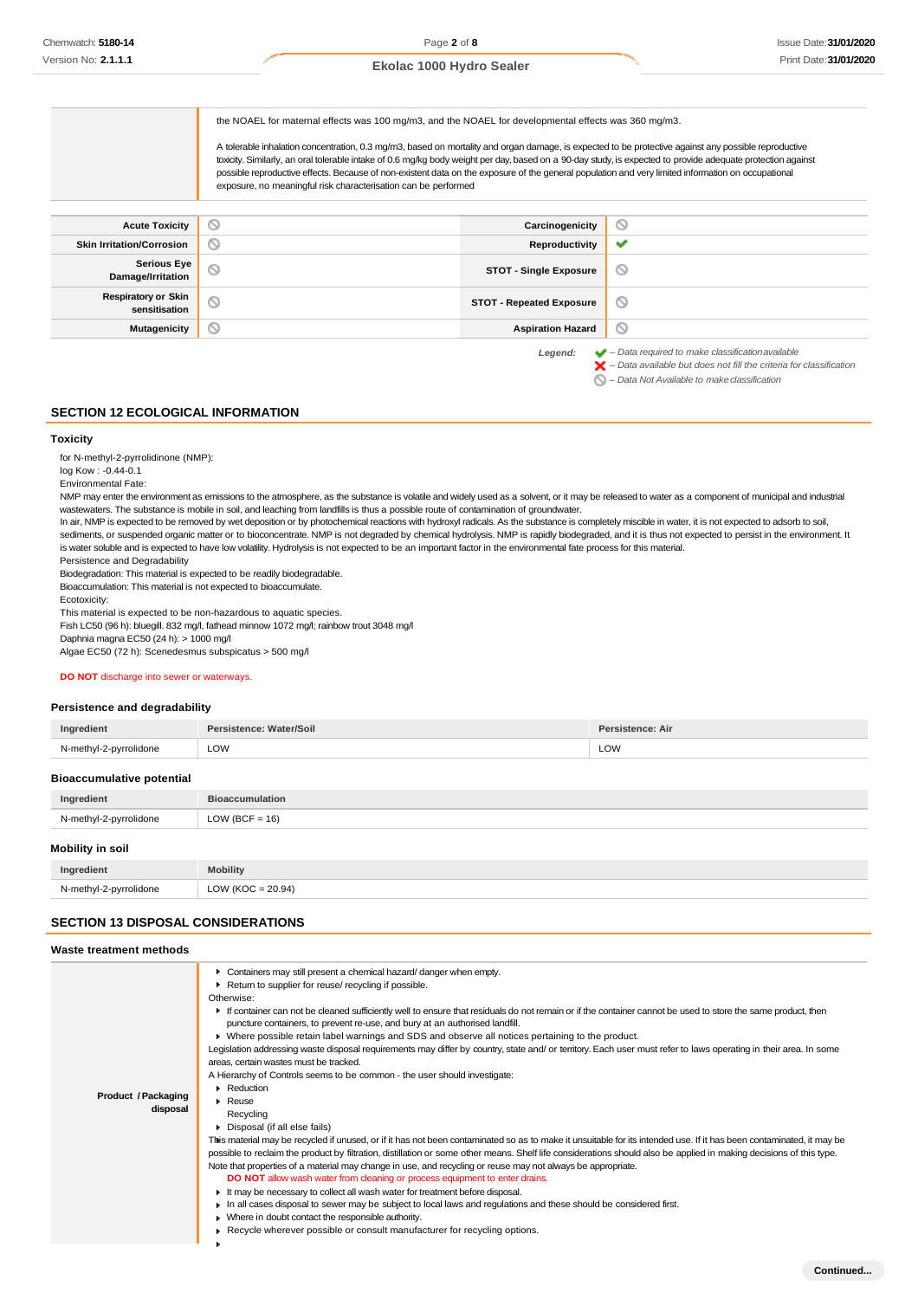| Ekolac 1000 Hydro Sealer |  |  |  |
|--------------------------|--|--|--|
|--------------------------|--|--|--|

the NOAEL for maternal effects was 100 mg/m3, and the NOAEL for developmental effects was 360 mg/m3.

A tolerable inhalation concentration, 0.3 mg/m3, based on mortality and organ damage, is expected to be protective against any possible reproductive toxicity. Similarly, an oral tolerable intake of 0.6 mg/kg body weight per day, based on a 90-day study, is expected to provide adequate protection against possible reproductive effects. Because of non-existent data on the exposure of the general population and very limited information on occupational exposure, no meaningful risk characterisation can be performed

| <b>Acute Toxicity</b>                       | ◡       | Carcinogenicity                 | $\circ$                                                                |
|---------------------------------------------|---------|---------------------------------|------------------------------------------------------------------------|
| <b>Skin Irritation/Corrosion</b>            | ∾       | Reproductivity                  | ✔                                                                      |
| <b>Serious Eye</b><br>Damage/Irritation     | O       | <b>STOT - Single Exposure</b>   | ∾                                                                      |
| <b>Respiratory or Skin</b><br>sensitisation | $\circ$ | <b>STOT - Repeated Exposure</b> | $\circ$                                                                |
| <b>Mutagenicity</b>                         | S       | <b>Aspiration Hazard</b>        | $\circ$                                                                |
|                                             |         | l ocional:                      | $\blacktriangleright$ - Data required to make classification available |

*Legend: – Data required to make classificationavailable – Data available but does not fill the criteria for classification*

*– Data Not Available to makeclassification*

#### **SECTION 12 ECOLOGICAL INFORMATION**

#### **Toxicity**

for N-methyl-2-pyrrolidinone (NMP):

log Kow : -0.44-0.1 Environmental Fate:

NMP may enter the environment as emissions to the atmosphere, as the substance is volatile and widely used as a solvent, or it may be released to water as a component of municipal and industrial wastewaters. The substance is mobile in soil, and leaching from landfills is thus a possible route of contamination of groundwater.

In air, NMP is expected to be removed by wet deposition or by photochemical reactions with hydroxyl radicals. As the substance is completely miscible in water, it is not expected to adsorb to soil, sediments, or suspended organic matter or to bioconcentrate. NMP is not degraded by chemical hydrolysis. NMP is rapidly biodegraded, and it is thus not expected to persist in the environment. It is water soluble and is expected to have low volatility. Hydrolysis is not expected to be an important factor in the environmental fate process for this material.

Persistence and Degradability

Biodegradation: This material is expected to be readily biodegradable. Bioaccumulation: This material is not expected to bioaccumulate.

Ecotoxicity:

This material is expected to be non-hazardous to aquatic species.

Fish LC50 (96 h): bluegill. 832 mg/l, fathead minnow 1072 mg/l; rainbow trout 3048 mg/l

Daphnia magna EC50 (24 h): > 1000 mg/l

Algae EC50 (72 h): Scenedesmus subspicatus > 500 mg/l

#### **DO NOT** discharge into sewer or waterways.

#### **Persistence and degradability**

| Ingredient                                                                      | Persistence: Water/Soil | Persistence: Air |
|---------------------------------------------------------------------------------|-------------------------|------------------|
| N-methyl-2-pyrrolidone                                                          | LOW                     | LOW              |
| <b>Bioaccumulative potential</b>                                                |                         |                  |
| Ingredient                                                                      | <b>Bioaccumulation</b>  |                  |
| N-methyl-2-pyrrolidone                                                          | LOW (BCF = $16$ )       |                  |
| Mobility in soil                                                                |                         |                  |
| the contract of the contract of the contract of the contract of the contract of |                         |                  |

| Ingredient                              | .obility                                            |
|-----------------------------------------|-----------------------------------------------------|
| N-methvl-2-pvrrolidone<br>$\sim$ $\sim$ | :20.94"<br>$\bigcap_{\Lambda}$<br>$\sqrt{2}$<br>. . |
|                                         |                                                     |

#### **SECTION 13 DISPOSAL CONSIDERATIONS**

#### **Waste treatment methods**

| Product / Packaging | • Containers may still present a chemical hazard/danger when empty.<br>Return to supplier for reuse/ recycling if possible.<br>Otherwise:<br>If container can not be cleaned sufficiently well to ensure that residuals do not remain or if the container cannot be used to store the same product, then<br>puncture containers, to prevent re-use, and bury at an authorised landfill.<br>▶ Where possible retain label warnings and SDS and observe all notices pertaining to the product.<br>Legislation addressing waste disposal requirements may differ by country, state and/ or territory. Each user must refer to laws operating in their area. In some<br>areas, certain wastes must be tracked.<br>A Hierarchy of Controls seems to be common - the user should investigate:<br>$\blacktriangleright$ Reduction |
|---------------------|----------------------------------------------------------------------------------------------------------------------------------------------------------------------------------------------------------------------------------------------------------------------------------------------------------------------------------------------------------------------------------------------------------------------------------------------------------------------------------------------------------------------------------------------------------------------------------------------------------------------------------------------------------------------------------------------------------------------------------------------------------------------------------------------------------------------------|
| disposal            | $\blacktriangleright$ Reuse<br>Recycling<br>Disposal (if all else fails)<br>This material may be recycled if unused, or if it has not been contaminated so as to make it unsuitable for its intended use. If it has been contaminated, it may be<br>possible to reclaim the product by filtration, distillation or some other means. Shelf life considerations should also be applied in making decisions of this type.<br>Note that properties of a material may change in use, and recycling or reuse may not always be appropriate.                                                                                                                                                                                                                                                                                     |
|                     | <b>DO NOT</b> allow wash water from cleaning or process equipment to enter drains.<br>It may be necessary to collect all wash water for treatment before disposal.<br>In all cases disposal to sewer may be subject to local laws and regulations and these should be considered first.<br>• Where in doubt contact the responsible authority.<br>► Recycle wherever possible or consult manufacturer for recycling options.                                                                                                                                                                                                                                                                                                                                                                                               |